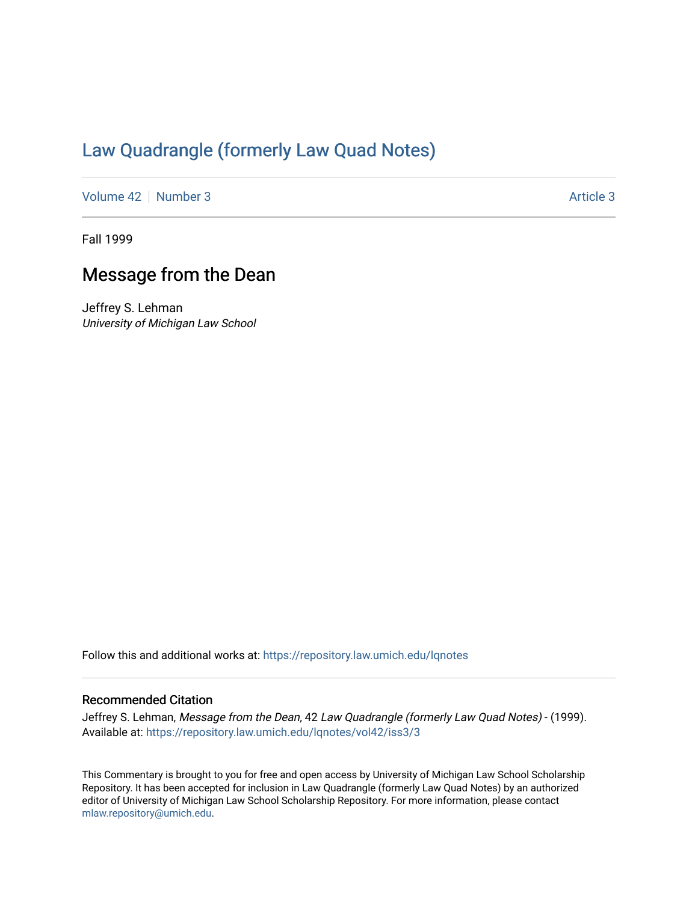## [Law Quadrangle \(formerly Law Quad Notes\)](https://repository.law.umich.edu/lqnotes)

[Volume 42](https://repository.law.umich.edu/lqnotes/vol42) [Number 3](https://repository.law.umich.edu/lqnotes/vol42/iss3) [Article 3](https://repository.law.umich.edu/lqnotes/vol42/iss3/3) Article 3

Fall 1999

## Message from the Dean

Jeffrey S. Lehman University of Michigan Law School

Follow this and additional works at: [https://repository.law.umich.edu/lqnotes](https://repository.law.umich.edu/lqnotes?utm_source=repository.law.umich.edu%2Flqnotes%2Fvol42%2Fiss3%2F3&utm_medium=PDF&utm_campaign=PDFCoverPages) 

## Recommended Citation

Jeffrey S. Lehman, Message from the Dean, 42 Law Quadrangle (formerly Law Quad Notes) - (1999). Available at: [https://repository.law.umich.edu/lqnotes/vol42/iss3/3](https://repository.law.umich.edu/lqnotes/vol42/iss3/3?utm_source=repository.law.umich.edu%2Flqnotes%2Fvol42%2Fiss3%2F3&utm_medium=PDF&utm_campaign=PDFCoverPages) 

This Commentary is brought to you for free and open access by University of Michigan Law School Scholarship Repository. It has been accepted for inclusion in Law Quadrangle (formerly Law Quad Notes) by an authorized editor of University of Michigan Law School Scholarship Repository. For more information, please contact [mlaw.repository@umich.edu.](mailto:mlaw.repository@umich.edu)